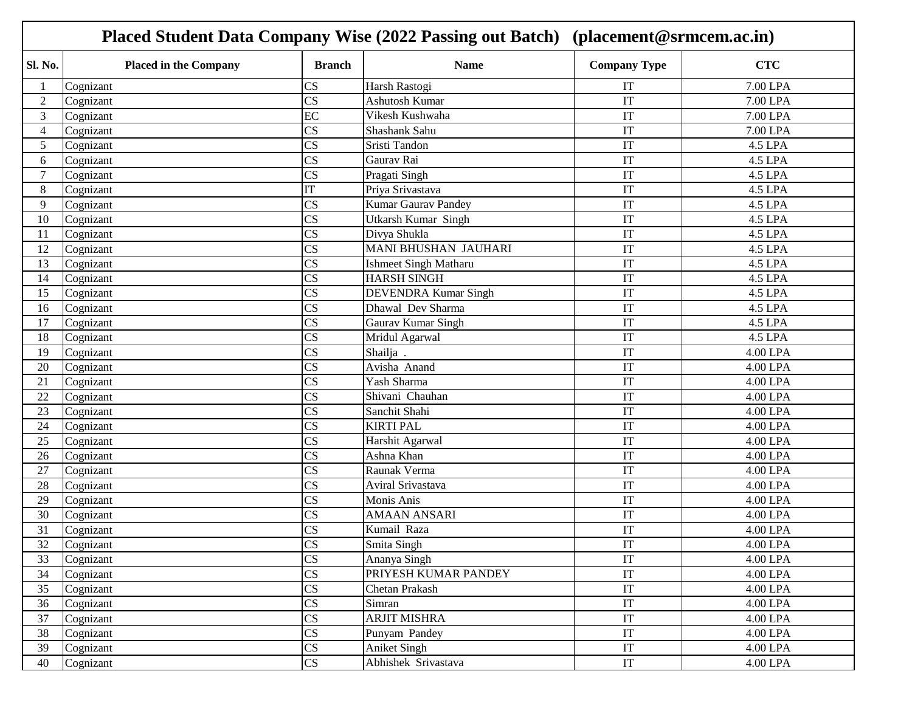| Sl. No.<br><b>CTC</b><br><b>Placed in the Company</b><br><b>Name</b><br><b>Company Type</b><br><b>Branch</b><br>CS<br>7.00 LPA<br>Cognizant<br>Harsh Rastogi<br>IT<br>CS<br>Ashutosh Kumar<br>7.00 LPA<br>$\overline{2}$<br>IT<br>Cognizant<br>3<br>EC<br>Vikesh Kushwaha<br>IT<br>7.00 LPA<br>Cognizant<br>$\overline{\text{CS}}$<br>Shashank Sahu<br>IT<br>7.00 LPA<br>Cognizant<br>4<br>$\overline{\text{CS}}$<br>5<br>Sristi Tandon<br>IT<br>4.5 LPA<br>Cognizant<br>$\overline{\text{CS}}$<br>IT<br>Gaurav Rai<br>4.5 LPA<br>6<br>Cognizant<br>CS<br>7<br>IT<br>Pragati Singh<br>4.5 LPA<br>Cognizant<br>IT<br>8<br>Priya Srivastava<br>IT<br>Cognizant<br>4.5 LPA<br>CS<br><b>Kumar Gaurav Pandey</b><br>9<br>IT<br>4.5 LPA<br>Cognizant<br>CS<br>10<br>Utkarsh Kumar Singh<br>IT<br>Cognizant<br>4.5 LPA<br>$\overline{\text{CS}}$<br>IT<br>Divya Shukla<br>4.5 LPA<br>Cognizant<br>11<br><b>MANI BHUSHAN JAUHARI</b><br>$\overline{\text{CS}}$<br>IT<br>4.5 LPA<br>12<br>Cognizant<br>$\overline{\text{CS}}$<br><b>Ishmeet Singh Matharu</b><br>IT<br>4.5 LPA<br>13<br>Cognizant<br>$\overline{\text{CS}}$<br>IT<br><b>HARSH SINGH</b><br>14<br>Cognizant<br>4.5 LPA<br>$\overline{\text{CS}}$<br><b>DEVENDRA Kumar Singh</b><br>IT<br>15<br>Cognizant<br>4.5 LPA<br>CS<br>Dhawal Dev Sharma<br>IT<br>4.5 LPA<br>16<br>Cognizant<br>CS<br>Gaurav Kumar Singh<br>Cognizant<br>IT<br>4.5 LPA<br>17<br>CS<br>Mridul Agarwal<br>IT<br>4.5 LPA<br>18<br>Cognizant<br>CS<br>Shailja.<br>IT<br>4.00 LPA<br>19<br>Cognizant<br>$\overline{\text{CS}}$<br>Avisha Anand<br>IT<br>4.00 LPA<br>20<br>Cognizant<br>$\overline{\text{CS}}$<br>Yash Sharma<br>IT<br>21<br>Cognizant<br>4.00 LPA<br>CS<br>IT<br>Shivani Chauhan<br>22<br>Cognizant<br>4.00 LPA<br>CS<br>Sanchit Shahi<br>IT<br>4.00 LPA<br>23<br>Cognizant<br>CS<br><b>KIRTI PAL</b><br>24<br>IT<br>4.00 LPA<br>Cognizant<br>$\overline{\text{CS}}$<br>25<br>IT<br>4.00 LPA<br>Cognizant<br>Harshit Agarwal<br>$\overline{\text{CS}}$<br>IT<br>Ashna Khan<br>4.00 LPA<br>26<br>Cognizant<br>$\overline{\text{CS}}$<br>Raunak Verma<br>IT<br>4.00 LPA<br>27<br>Cognizant<br>CS<br>Aviral Srivastava<br>IT<br>28<br>Cognizant<br>4.00 LPA<br>$\overline{\text{CS}}$<br>IT<br>Monis Anis<br>29<br>Cognizant<br>4.00 LPA<br>$\overline{\text{CS}}$<br><b>AMAAN ANSARI</b><br>IT<br>4.00 LPA<br>30<br>Cognizant<br>31<br>CS<br>Kumail Raza<br>IT<br>4.00 LPA<br>Cognizant<br>CS<br>Cognizant<br>Smita Singh<br>IT<br>4.00 LPA<br>32<br>$\overline{\text{CS}}$<br>IT<br>33<br>Ananya Singh<br>4.00 LPA<br>Cognizant<br>$\overline{\text{CS}}$<br>IT<br>34<br>PRIYESH KUMAR PANDEY<br>4.00 LPA<br>Cognizant<br>CS<br>IT<br>35<br>Cognizant<br>Chetan Prakash<br>4.00 LPA<br>CS<br>Simran<br>IT<br>36<br>Cognizant<br>4.00 LPA<br>$\overline{\text{CS}}$<br><b>ARJIT MISHRA</b><br>IT<br>4.00 LPA<br>37<br>Cognizant<br>$\overline{\text{CS}}$<br>IT<br>38<br>4.00 LPA<br>Cognizant<br>Punyam Pandey<br>CS<br>39<br>IT<br>4.00 LPA<br>Cognizant<br>Aniket Singh |    | Placed Student Data Company Wise (2022 Passing out Batch) (placement@srmcem.ac.in) |    |                     |    |          |  |
|-----------------------------------------------------------------------------------------------------------------------------------------------------------------------------------------------------------------------------------------------------------------------------------------------------------------------------------------------------------------------------------------------------------------------------------------------------------------------------------------------------------------------------------------------------------------------------------------------------------------------------------------------------------------------------------------------------------------------------------------------------------------------------------------------------------------------------------------------------------------------------------------------------------------------------------------------------------------------------------------------------------------------------------------------------------------------------------------------------------------------------------------------------------------------------------------------------------------------------------------------------------------------------------------------------------------------------------------------------------------------------------------------------------------------------------------------------------------------------------------------------------------------------------------------------------------------------------------------------------------------------------------------------------------------------------------------------------------------------------------------------------------------------------------------------------------------------------------------------------------------------------------------------------------------------------------------------------------------------------------------------------------------------------------------------------------------------------------------------------------------------------------------------------------------------------------------------------------------------------------------------------------------------------------------------------------------------------------------------------------------------------------------------------------------------------------------------------------------------------------------------------------------------------------------------------------------------------------------------------------------------------------------------------------------------------------------------------------------------------------------------------------------------------------------------------------------------------------------------------------------------------------------------------------------------------------------------------------------------------------------------------------|----|------------------------------------------------------------------------------------|----|---------------------|----|----------|--|
|                                                                                                                                                                                                                                                                                                                                                                                                                                                                                                                                                                                                                                                                                                                                                                                                                                                                                                                                                                                                                                                                                                                                                                                                                                                                                                                                                                                                                                                                                                                                                                                                                                                                                                                                                                                                                                                                                                                                                                                                                                                                                                                                                                                                                                                                                                                                                                                                                                                                                                                                                                                                                                                                                                                                                                                                                                                                                                                                                                                                                 |    |                                                                                    |    |                     |    |          |  |
|                                                                                                                                                                                                                                                                                                                                                                                                                                                                                                                                                                                                                                                                                                                                                                                                                                                                                                                                                                                                                                                                                                                                                                                                                                                                                                                                                                                                                                                                                                                                                                                                                                                                                                                                                                                                                                                                                                                                                                                                                                                                                                                                                                                                                                                                                                                                                                                                                                                                                                                                                                                                                                                                                                                                                                                                                                                                                                                                                                                                                 |    |                                                                                    |    |                     |    |          |  |
|                                                                                                                                                                                                                                                                                                                                                                                                                                                                                                                                                                                                                                                                                                                                                                                                                                                                                                                                                                                                                                                                                                                                                                                                                                                                                                                                                                                                                                                                                                                                                                                                                                                                                                                                                                                                                                                                                                                                                                                                                                                                                                                                                                                                                                                                                                                                                                                                                                                                                                                                                                                                                                                                                                                                                                                                                                                                                                                                                                                                                 |    |                                                                                    |    |                     |    |          |  |
|                                                                                                                                                                                                                                                                                                                                                                                                                                                                                                                                                                                                                                                                                                                                                                                                                                                                                                                                                                                                                                                                                                                                                                                                                                                                                                                                                                                                                                                                                                                                                                                                                                                                                                                                                                                                                                                                                                                                                                                                                                                                                                                                                                                                                                                                                                                                                                                                                                                                                                                                                                                                                                                                                                                                                                                                                                                                                                                                                                                                                 |    |                                                                                    |    |                     |    |          |  |
|                                                                                                                                                                                                                                                                                                                                                                                                                                                                                                                                                                                                                                                                                                                                                                                                                                                                                                                                                                                                                                                                                                                                                                                                                                                                                                                                                                                                                                                                                                                                                                                                                                                                                                                                                                                                                                                                                                                                                                                                                                                                                                                                                                                                                                                                                                                                                                                                                                                                                                                                                                                                                                                                                                                                                                                                                                                                                                                                                                                                                 |    |                                                                                    |    |                     |    |          |  |
|                                                                                                                                                                                                                                                                                                                                                                                                                                                                                                                                                                                                                                                                                                                                                                                                                                                                                                                                                                                                                                                                                                                                                                                                                                                                                                                                                                                                                                                                                                                                                                                                                                                                                                                                                                                                                                                                                                                                                                                                                                                                                                                                                                                                                                                                                                                                                                                                                                                                                                                                                                                                                                                                                                                                                                                                                                                                                                                                                                                                                 |    |                                                                                    |    |                     |    |          |  |
|                                                                                                                                                                                                                                                                                                                                                                                                                                                                                                                                                                                                                                                                                                                                                                                                                                                                                                                                                                                                                                                                                                                                                                                                                                                                                                                                                                                                                                                                                                                                                                                                                                                                                                                                                                                                                                                                                                                                                                                                                                                                                                                                                                                                                                                                                                                                                                                                                                                                                                                                                                                                                                                                                                                                                                                                                                                                                                                                                                                                                 |    |                                                                                    |    |                     |    |          |  |
|                                                                                                                                                                                                                                                                                                                                                                                                                                                                                                                                                                                                                                                                                                                                                                                                                                                                                                                                                                                                                                                                                                                                                                                                                                                                                                                                                                                                                                                                                                                                                                                                                                                                                                                                                                                                                                                                                                                                                                                                                                                                                                                                                                                                                                                                                                                                                                                                                                                                                                                                                                                                                                                                                                                                                                                                                                                                                                                                                                                                                 |    |                                                                                    |    |                     |    |          |  |
|                                                                                                                                                                                                                                                                                                                                                                                                                                                                                                                                                                                                                                                                                                                                                                                                                                                                                                                                                                                                                                                                                                                                                                                                                                                                                                                                                                                                                                                                                                                                                                                                                                                                                                                                                                                                                                                                                                                                                                                                                                                                                                                                                                                                                                                                                                                                                                                                                                                                                                                                                                                                                                                                                                                                                                                                                                                                                                                                                                                                                 |    |                                                                                    |    |                     |    |          |  |
|                                                                                                                                                                                                                                                                                                                                                                                                                                                                                                                                                                                                                                                                                                                                                                                                                                                                                                                                                                                                                                                                                                                                                                                                                                                                                                                                                                                                                                                                                                                                                                                                                                                                                                                                                                                                                                                                                                                                                                                                                                                                                                                                                                                                                                                                                                                                                                                                                                                                                                                                                                                                                                                                                                                                                                                                                                                                                                                                                                                                                 |    |                                                                                    |    |                     |    |          |  |
|                                                                                                                                                                                                                                                                                                                                                                                                                                                                                                                                                                                                                                                                                                                                                                                                                                                                                                                                                                                                                                                                                                                                                                                                                                                                                                                                                                                                                                                                                                                                                                                                                                                                                                                                                                                                                                                                                                                                                                                                                                                                                                                                                                                                                                                                                                                                                                                                                                                                                                                                                                                                                                                                                                                                                                                                                                                                                                                                                                                                                 |    |                                                                                    |    |                     |    |          |  |
|                                                                                                                                                                                                                                                                                                                                                                                                                                                                                                                                                                                                                                                                                                                                                                                                                                                                                                                                                                                                                                                                                                                                                                                                                                                                                                                                                                                                                                                                                                                                                                                                                                                                                                                                                                                                                                                                                                                                                                                                                                                                                                                                                                                                                                                                                                                                                                                                                                                                                                                                                                                                                                                                                                                                                                                                                                                                                                                                                                                                                 |    |                                                                                    |    |                     |    |          |  |
|                                                                                                                                                                                                                                                                                                                                                                                                                                                                                                                                                                                                                                                                                                                                                                                                                                                                                                                                                                                                                                                                                                                                                                                                                                                                                                                                                                                                                                                                                                                                                                                                                                                                                                                                                                                                                                                                                                                                                                                                                                                                                                                                                                                                                                                                                                                                                                                                                                                                                                                                                                                                                                                                                                                                                                                                                                                                                                                                                                                                                 |    |                                                                                    |    |                     |    |          |  |
|                                                                                                                                                                                                                                                                                                                                                                                                                                                                                                                                                                                                                                                                                                                                                                                                                                                                                                                                                                                                                                                                                                                                                                                                                                                                                                                                                                                                                                                                                                                                                                                                                                                                                                                                                                                                                                                                                                                                                                                                                                                                                                                                                                                                                                                                                                                                                                                                                                                                                                                                                                                                                                                                                                                                                                                                                                                                                                                                                                                                                 |    |                                                                                    |    |                     |    |          |  |
|                                                                                                                                                                                                                                                                                                                                                                                                                                                                                                                                                                                                                                                                                                                                                                                                                                                                                                                                                                                                                                                                                                                                                                                                                                                                                                                                                                                                                                                                                                                                                                                                                                                                                                                                                                                                                                                                                                                                                                                                                                                                                                                                                                                                                                                                                                                                                                                                                                                                                                                                                                                                                                                                                                                                                                                                                                                                                                                                                                                                                 |    |                                                                                    |    |                     |    |          |  |
|                                                                                                                                                                                                                                                                                                                                                                                                                                                                                                                                                                                                                                                                                                                                                                                                                                                                                                                                                                                                                                                                                                                                                                                                                                                                                                                                                                                                                                                                                                                                                                                                                                                                                                                                                                                                                                                                                                                                                                                                                                                                                                                                                                                                                                                                                                                                                                                                                                                                                                                                                                                                                                                                                                                                                                                                                                                                                                                                                                                                                 |    |                                                                                    |    |                     |    |          |  |
|                                                                                                                                                                                                                                                                                                                                                                                                                                                                                                                                                                                                                                                                                                                                                                                                                                                                                                                                                                                                                                                                                                                                                                                                                                                                                                                                                                                                                                                                                                                                                                                                                                                                                                                                                                                                                                                                                                                                                                                                                                                                                                                                                                                                                                                                                                                                                                                                                                                                                                                                                                                                                                                                                                                                                                                                                                                                                                                                                                                                                 |    |                                                                                    |    |                     |    |          |  |
|                                                                                                                                                                                                                                                                                                                                                                                                                                                                                                                                                                                                                                                                                                                                                                                                                                                                                                                                                                                                                                                                                                                                                                                                                                                                                                                                                                                                                                                                                                                                                                                                                                                                                                                                                                                                                                                                                                                                                                                                                                                                                                                                                                                                                                                                                                                                                                                                                                                                                                                                                                                                                                                                                                                                                                                                                                                                                                                                                                                                                 |    |                                                                                    |    |                     |    |          |  |
|                                                                                                                                                                                                                                                                                                                                                                                                                                                                                                                                                                                                                                                                                                                                                                                                                                                                                                                                                                                                                                                                                                                                                                                                                                                                                                                                                                                                                                                                                                                                                                                                                                                                                                                                                                                                                                                                                                                                                                                                                                                                                                                                                                                                                                                                                                                                                                                                                                                                                                                                                                                                                                                                                                                                                                                                                                                                                                                                                                                                                 |    |                                                                                    |    |                     |    |          |  |
|                                                                                                                                                                                                                                                                                                                                                                                                                                                                                                                                                                                                                                                                                                                                                                                                                                                                                                                                                                                                                                                                                                                                                                                                                                                                                                                                                                                                                                                                                                                                                                                                                                                                                                                                                                                                                                                                                                                                                                                                                                                                                                                                                                                                                                                                                                                                                                                                                                                                                                                                                                                                                                                                                                                                                                                                                                                                                                                                                                                                                 |    |                                                                                    |    |                     |    |          |  |
|                                                                                                                                                                                                                                                                                                                                                                                                                                                                                                                                                                                                                                                                                                                                                                                                                                                                                                                                                                                                                                                                                                                                                                                                                                                                                                                                                                                                                                                                                                                                                                                                                                                                                                                                                                                                                                                                                                                                                                                                                                                                                                                                                                                                                                                                                                                                                                                                                                                                                                                                                                                                                                                                                                                                                                                                                                                                                                                                                                                                                 |    |                                                                                    |    |                     |    |          |  |
|                                                                                                                                                                                                                                                                                                                                                                                                                                                                                                                                                                                                                                                                                                                                                                                                                                                                                                                                                                                                                                                                                                                                                                                                                                                                                                                                                                                                                                                                                                                                                                                                                                                                                                                                                                                                                                                                                                                                                                                                                                                                                                                                                                                                                                                                                                                                                                                                                                                                                                                                                                                                                                                                                                                                                                                                                                                                                                                                                                                                                 |    |                                                                                    |    |                     |    |          |  |
|                                                                                                                                                                                                                                                                                                                                                                                                                                                                                                                                                                                                                                                                                                                                                                                                                                                                                                                                                                                                                                                                                                                                                                                                                                                                                                                                                                                                                                                                                                                                                                                                                                                                                                                                                                                                                                                                                                                                                                                                                                                                                                                                                                                                                                                                                                                                                                                                                                                                                                                                                                                                                                                                                                                                                                                                                                                                                                                                                                                                                 |    |                                                                                    |    |                     |    |          |  |
|                                                                                                                                                                                                                                                                                                                                                                                                                                                                                                                                                                                                                                                                                                                                                                                                                                                                                                                                                                                                                                                                                                                                                                                                                                                                                                                                                                                                                                                                                                                                                                                                                                                                                                                                                                                                                                                                                                                                                                                                                                                                                                                                                                                                                                                                                                                                                                                                                                                                                                                                                                                                                                                                                                                                                                                                                                                                                                                                                                                                                 |    |                                                                                    |    |                     |    |          |  |
|                                                                                                                                                                                                                                                                                                                                                                                                                                                                                                                                                                                                                                                                                                                                                                                                                                                                                                                                                                                                                                                                                                                                                                                                                                                                                                                                                                                                                                                                                                                                                                                                                                                                                                                                                                                                                                                                                                                                                                                                                                                                                                                                                                                                                                                                                                                                                                                                                                                                                                                                                                                                                                                                                                                                                                                                                                                                                                                                                                                                                 |    |                                                                                    |    |                     |    |          |  |
|                                                                                                                                                                                                                                                                                                                                                                                                                                                                                                                                                                                                                                                                                                                                                                                                                                                                                                                                                                                                                                                                                                                                                                                                                                                                                                                                                                                                                                                                                                                                                                                                                                                                                                                                                                                                                                                                                                                                                                                                                                                                                                                                                                                                                                                                                                                                                                                                                                                                                                                                                                                                                                                                                                                                                                                                                                                                                                                                                                                                                 |    |                                                                                    |    |                     |    |          |  |
|                                                                                                                                                                                                                                                                                                                                                                                                                                                                                                                                                                                                                                                                                                                                                                                                                                                                                                                                                                                                                                                                                                                                                                                                                                                                                                                                                                                                                                                                                                                                                                                                                                                                                                                                                                                                                                                                                                                                                                                                                                                                                                                                                                                                                                                                                                                                                                                                                                                                                                                                                                                                                                                                                                                                                                                                                                                                                                                                                                                                                 |    |                                                                                    |    |                     |    |          |  |
|                                                                                                                                                                                                                                                                                                                                                                                                                                                                                                                                                                                                                                                                                                                                                                                                                                                                                                                                                                                                                                                                                                                                                                                                                                                                                                                                                                                                                                                                                                                                                                                                                                                                                                                                                                                                                                                                                                                                                                                                                                                                                                                                                                                                                                                                                                                                                                                                                                                                                                                                                                                                                                                                                                                                                                                                                                                                                                                                                                                                                 |    |                                                                                    |    |                     |    |          |  |
|                                                                                                                                                                                                                                                                                                                                                                                                                                                                                                                                                                                                                                                                                                                                                                                                                                                                                                                                                                                                                                                                                                                                                                                                                                                                                                                                                                                                                                                                                                                                                                                                                                                                                                                                                                                                                                                                                                                                                                                                                                                                                                                                                                                                                                                                                                                                                                                                                                                                                                                                                                                                                                                                                                                                                                                                                                                                                                                                                                                                                 |    |                                                                                    |    |                     |    |          |  |
|                                                                                                                                                                                                                                                                                                                                                                                                                                                                                                                                                                                                                                                                                                                                                                                                                                                                                                                                                                                                                                                                                                                                                                                                                                                                                                                                                                                                                                                                                                                                                                                                                                                                                                                                                                                                                                                                                                                                                                                                                                                                                                                                                                                                                                                                                                                                                                                                                                                                                                                                                                                                                                                                                                                                                                                                                                                                                                                                                                                                                 |    |                                                                                    |    |                     |    |          |  |
|                                                                                                                                                                                                                                                                                                                                                                                                                                                                                                                                                                                                                                                                                                                                                                                                                                                                                                                                                                                                                                                                                                                                                                                                                                                                                                                                                                                                                                                                                                                                                                                                                                                                                                                                                                                                                                                                                                                                                                                                                                                                                                                                                                                                                                                                                                                                                                                                                                                                                                                                                                                                                                                                                                                                                                                                                                                                                                                                                                                                                 |    |                                                                                    |    |                     |    |          |  |
|                                                                                                                                                                                                                                                                                                                                                                                                                                                                                                                                                                                                                                                                                                                                                                                                                                                                                                                                                                                                                                                                                                                                                                                                                                                                                                                                                                                                                                                                                                                                                                                                                                                                                                                                                                                                                                                                                                                                                                                                                                                                                                                                                                                                                                                                                                                                                                                                                                                                                                                                                                                                                                                                                                                                                                                                                                                                                                                                                                                                                 |    |                                                                                    |    |                     |    |          |  |
|                                                                                                                                                                                                                                                                                                                                                                                                                                                                                                                                                                                                                                                                                                                                                                                                                                                                                                                                                                                                                                                                                                                                                                                                                                                                                                                                                                                                                                                                                                                                                                                                                                                                                                                                                                                                                                                                                                                                                                                                                                                                                                                                                                                                                                                                                                                                                                                                                                                                                                                                                                                                                                                                                                                                                                                                                                                                                                                                                                                                                 |    |                                                                                    |    |                     |    |          |  |
|                                                                                                                                                                                                                                                                                                                                                                                                                                                                                                                                                                                                                                                                                                                                                                                                                                                                                                                                                                                                                                                                                                                                                                                                                                                                                                                                                                                                                                                                                                                                                                                                                                                                                                                                                                                                                                                                                                                                                                                                                                                                                                                                                                                                                                                                                                                                                                                                                                                                                                                                                                                                                                                                                                                                                                                                                                                                                                                                                                                                                 |    |                                                                                    |    |                     |    |          |  |
|                                                                                                                                                                                                                                                                                                                                                                                                                                                                                                                                                                                                                                                                                                                                                                                                                                                                                                                                                                                                                                                                                                                                                                                                                                                                                                                                                                                                                                                                                                                                                                                                                                                                                                                                                                                                                                                                                                                                                                                                                                                                                                                                                                                                                                                                                                                                                                                                                                                                                                                                                                                                                                                                                                                                                                                                                                                                                                                                                                                                                 |    |                                                                                    |    |                     |    |          |  |
|                                                                                                                                                                                                                                                                                                                                                                                                                                                                                                                                                                                                                                                                                                                                                                                                                                                                                                                                                                                                                                                                                                                                                                                                                                                                                                                                                                                                                                                                                                                                                                                                                                                                                                                                                                                                                                                                                                                                                                                                                                                                                                                                                                                                                                                                                                                                                                                                                                                                                                                                                                                                                                                                                                                                                                                                                                                                                                                                                                                                                 |    |                                                                                    |    |                     |    |          |  |
|                                                                                                                                                                                                                                                                                                                                                                                                                                                                                                                                                                                                                                                                                                                                                                                                                                                                                                                                                                                                                                                                                                                                                                                                                                                                                                                                                                                                                                                                                                                                                                                                                                                                                                                                                                                                                                                                                                                                                                                                                                                                                                                                                                                                                                                                                                                                                                                                                                                                                                                                                                                                                                                                                                                                                                                                                                                                                                                                                                                                                 |    |                                                                                    |    |                     |    |          |  |
|                                                                                                                                                                                                                                                                                                                                                                                                                                                                                                                                                                                                                                                                                                                                                                                                                                                                                                                                                                                                                                                                                                                                                                                                                                                                                                                                                                                                                                                                                                                                                                                                                                                                                                                                                                                                                                                                                                                                                                                                                                                                                                                                                                                                                                                                                                                                                                                                                                                                                                                                                                                                                                                                                                                                                                                                                                                                                                                                                                                                                 |    |                                                                                    |    |                     |    |          |  |
|                                                                                                                                                                                                                                                                                                                                                                                                                                                                                                                                                                                                                                                                                                                                                                                                                                                                                                                                                                                                                                                                                                                                                                                                                                                                                                                                                                                                                                                                                                                                                                                                                                                                                                                                                                                                                                                                                                                                                                                                                                                                                                                                                                                                                                                                                                                                                                                                                                                                                                                                                                                                                                                                                                                                                                                                                                                                                                                                                                                                                 |    |                                                                                    |    |                     |    |          |  |
|                                                                                                                                                                                                                                                                                                                                                                                                                                                                                                                                                                                                                                                                                                                                                                                                                                                                                                                                                                                                                                                                                                                                                                                                                                                                                                                                                                                                                                                                                                                                                                                                                                                                                                                                                                                                                                                                                                                                                                                                                                                                                                                                                                                                                                                                                                                                                                                                                                                                                                                                                                                                                                                                                                                                                                                                                                                                                                                                                                                                                 |    |                                                                                    |    |                     |    |          |  |
|                                                                                                                                                                                                                                                                                                                                                                                                                                                                                                                                                                                                                                                                                                                                                                                                                                                                                                                                                                                                                                                                                                                                                                                                                                                                                                                                                                                                                                                                                                                                                                                                                                                                                                                                                                                                                                                                                                                                                                                                                                                                                                                                                                                                                                                                                                                                                                                                                                                                                                                                                                                                                                                                                                                                                                                                                                                                                                                                                                                                                 | 40 | Cognizant                                                                          | CS | Abhishek Srivastava | IT | 4.00 LPA |  |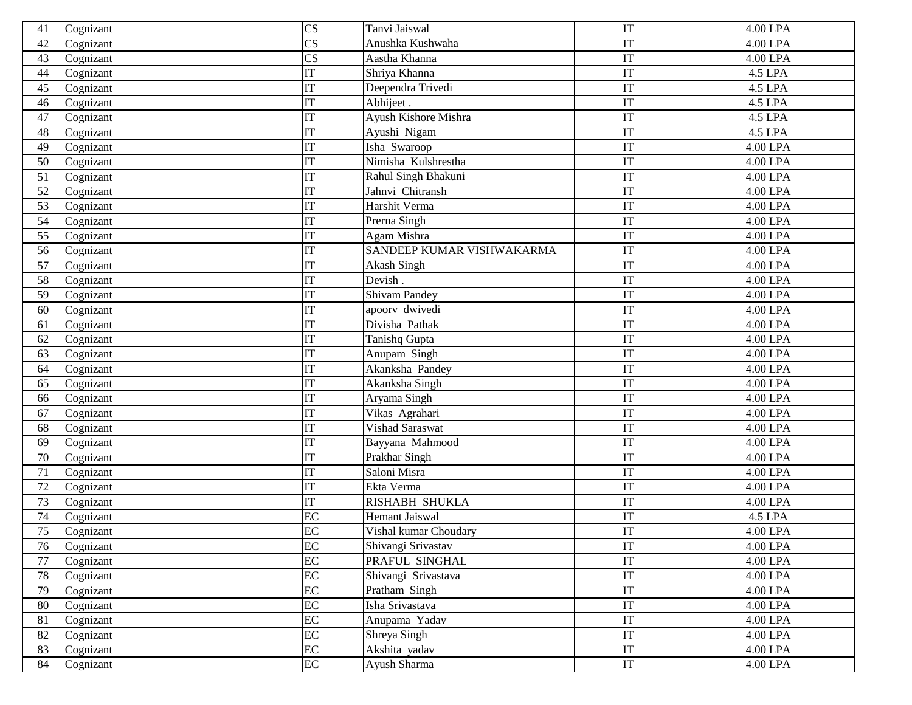| 41 | Cognizant | CS                     | Tanvi Jaiswal             | IT                     | 4.00 LPA              |
|----|-----------|------------------------|---------------------------|------------------------|-----------------------|
| 42 | Cognizant | $\overline{\text{CS}}$ | Anushka Kushwaha          | IT                     | $\overline{4.00}$ LPA |
| 43 | Cognizant | $\overline{\text{CS}}$ | Aastha Khanna             | IT                     | 4.00 LPA              |
| 44 | Cognizant | IT                     | Shriya Khanna             | IT                     | 4.5 LPA               |
| 45 | Cognizant | IT                     | Deependra Trivedi         | IT                     | 4.5 LPA               |
| 46 | Cognizant | IT                     | Abhijeet.                 | IT                     | 4.5 LPA               |
| 47 | Cognizant | IT                     | Ayush Kishore Mishra      | IT                     | 4.5 LPA               |
| 48 | Cognizant | $\overline{\text{IT}}$ | Ayushi Nigam              | IT                     | 4.5 LPA               |
| 49 | Cognizant | $\overline{\text{IT}}$ | Isha Swaroop              | IT                     | 4.00 LPA              |
| 50 | Cognizant | IT                     | Nimisha Kulshrestha       | IT                     | 4.00 LPA              |
| 51 | Cognizant | IT                     | Rahul Singh Bhakuni       | IT                     | 4.00 LPA              |
| 52 | Cognizant | IT                     | Jahnvi Chitransh          | IT                     | 4.00 LPA              |
| 53 | Cognizant | IT                     | Harshit Verma             | IT                     | 4.00 LPA              |
| 54 | Cognizant | IT                     | Prerna Singh              | IT                     | 4.00 LPA              |
| 55 | Cognizant | $\overline{\text{IT}}$ | Agam Mishra               | IT                     | 4.00 LPA              |
| 56 | Cognizant | $\overline{\text{IT}}$ | SANDEEP KUMAR VISHWAKARMA | IT                     | 4.00 LPA              |
| 57 | Cognizant | IT                     | Akash Singh               | IT                     | 4.00 LPA              |
| 58 | Cognizant | IT                     | Devish.                   | IT                     | 4.00 LPA              |
| 59 | Cognizant | $\overline{\text{IT}}$ | <b>Shivam Pandey</b>      | IT                     | 4.00 LPA              |
| 60 | Cognizant | IT                     | apoorv dwivedi            | IT                     | 4.00 LPA              |
| 61 | Cognizant | IT                     | Divisha Pathak            | IT                     | 4.00 LPA              |
| 62 | Cognizant | IT                     | Tanishq Gupta             | IT                     | 4.00 LPA              |
| 63 | Cognizant | IT                     | Anupam Singh              | IT                     | 4.00 LPA              |
| 64 | Cognizant | IT                     | Akanksha Pandey           | IT                     | 4.00 LPA              |
| 65 | Cognizant | IT                     | Akanksha Singh            | IT                     | 4.00 LPA              |
| 66 | Cognizant | IT                     | Aryama Singh              | IT                     | 4.00 LPA              |
| 67 | Cognizant | $\overline{\text{IT}}$ | Vikas Agrahari            | IT                     | 4.00 LPA              |
| 68 | Cognizant | IT                     | Vishad Saraswat           | IT                     | 4.00 LPA              |
| 69 | Cognizant | $\overline{\text{IT}}$ | Bayyana Mahmood           | IT                     | 4.00 LPA              |
| 70 | Cognizant | ΙT                     | Prakhar Singh             | IT                     | 4.00 LPA              |
| 71 | Cognizant | $\overline{\text{IT}}$ | Saloni Misra              | IT                     | 4.00 LPA              |
| 72 | Cognizant | $\overline{\text{IT}}$ | Ekta Verma                | IT                     | 4.00 LPA              |
| 73 | Cognizant | $\overline{\text{IT}}$ | <b>RISHABH SHUKLA</b>     | IT                     | 4.00 LPA              |
| 74 | Cognizant | EC                     | <b>Hemant Jaiswal</b>     | IT                     | 4.5 LPA               |
| 75 | Cognizant | EC                     | Vishal kumar Choudary     | IT                     | 4.00 LPA              |
| 76 | Cognizant | EC                     | Shivangi Srivastav        | $\mathop{\mathrm{IT}}$ | 4.00 LPA              |
| 77 | Cognizant | EC                     | PRAFUL SINGHAL            | IT                     | 4.00 LPA              |
| 78 | Cognizant | EC                     | Shivangi Srivastava       | $\mathop{\mathrm{IT}}$ | 4.00 LPA              |
| 79 | Cognizant | EC                     | Pratham Singh             | IT                     | 4.00 LPA              |
| 80 | Cognizant | EC                     | Isha Srivastava           | IT                     | 4.00 LPA              |
| 81 | Cognizant | EC                     | Anupama Yadav             | IT                     | 4.00 LPA              |
| 82 | Cognizant | EC                     | Shreya Singh              | IT                     | 4.00 LPA              |
| 83 | Cognizant | EC                     | Akshita yadav             | IT                     | 4.00 LPA              |
| 84 | Cognizant | EC                     | Ayush Sharma              | IT                     | 4.00 LPA              |
|    |           |                        |                           |                        |                       |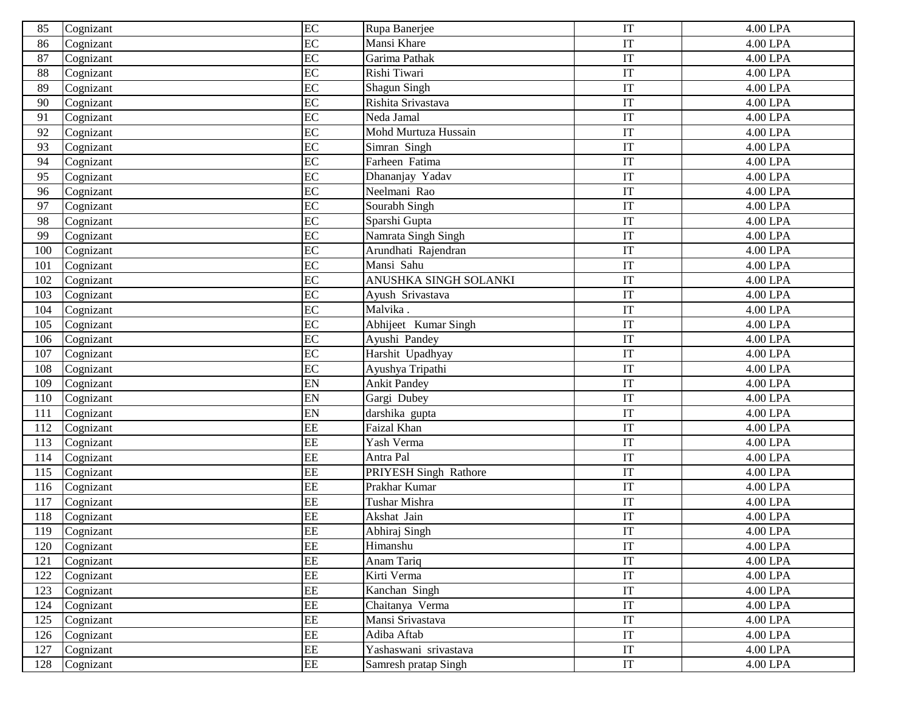| 85  | Cognizant | EC                     | Rupa Banerjee         | IT                     | 4.00 LPA        |
|-----|-----------|------------------------|-----------------------|------------------------|-----------------|
| 86  | Cognizant | EC                     | Mansi Khare           | IT                     | 4.00 LPA        |
| 87  | Cognizant | EC                     | Garima Pathak         | IT                     | 4.00 LPA        |
| 88  | Cognizant | EC                     | Rishi Tiwari          | IT                     | 4.00 LPA        |
| 89  | Cognizant | EC                     | Shagun Singh          | IT                     | 4.00 LPA        |
| 90  | Cognizant | EC                     | Rishita Srivastava    | IT                     | 4.00 LPA        |
| 91  | Cognizant | EC                     | Neda Jamal            | IT                     | 4.00 LPA        |
| 92  | Cognizant | EC                     | Mohd Murtuza Hussain  | IT                     | $4.00$ LPA      |
| 93  | Cognizant | EC                     | Simran Singh          | IT                     | 4.00 LPA        |
| 94  | Cognizant | EC                     | Farheen Fatima        | IT                     | 4.00 LPA        |
| 95  | Cognizant | EC                     | Dhananjay Yadav       | IT                     | 4.00 LPA        |
| 96  | Cognizant | EC                     | Neelmani Rao          | IT                     | 4.00 LPA        |
| 97  | Cognizant | EC                     | Sourabh Singh         | IT                     | 4.00 LPA        |
| 98  | Cognizant | EC                     | Sparshi Gupta         | IT                     | 4.00 LPA        |
| 99  | Cognizant | EC                     | Namrata Singh Singh   | IT                     | 4.00 LPA        |
| 100 | Cognizant | EC                     | Arundhati Rajendran   | IT                     | 4.00 LPA        |
| 101 | Cognizant | EC                     | Mansi Sahu            | IT                     | 4.00 LPA        |
| 102 | Cognizant | EC                     | ANUSHKA SINGH SOLANKI | IT                     | 4.00 LPA        |
| 103 | Cognizant | EC                     | Ayush Srivastava      | IT                     | 4.00 LPA        |
| 104 | Cognizant | EC                     | Malvika.              | IT                     | 4.00 LPA        |
| 105 | Cognizant | EC                     | Abhijeet Kumar Singh  | IT                     | 4.00 LPA        |
| 106 | Cognizant | EC                     | Ayushi Pandey         | IT                     | 4.00 LPA        |
| 107 | Cognizant | EC                     | Harshit Upadhyay      | IT                     | 4.00 LPA        |
| 108 | Cognizant | EC                     | Ayushya Tripathi      | IT                     | 4.00 LPA        |
| 109 | Cognizant | EN                     | <b>Ankit Pandey</b>   | IT                     | 4.00 LPA        |
| 110 | Cognizant | EN                     | Gargi Dubey           | IT                     | 4.00 LPA        |
| 111 | Cognizant | EN                     | darshika gupta        | IT                     | 4.00 LPA        |
| 112 | Cognizant | EE                     | Faizal Khan           | IT                     | 4.00 LPA        |
| 113 | Cognizant | EE                     | Yash Verma            | IT                     | 4.00 LPA        |
| 114 | Cognizant | EE                     | Antra Pal             | IT                     | 4.00 LPA        |
| 115 | Cognizant | EE                     | PRIYESH Singh Rathore | IT                     | 4.00 LPA        |
| 116 | Cognizant | EE                     | Prakhar Kumar         | IT                     | 4.00 LPA        |
| 117 | Cognizant | EE                     | Tushar Mishra         | IT                     | 4.00 LPA        |
| 118 | Cognizant | EE                     | Akshat Jain           | IT                     | 4.00 LPA        |
| 119 | Cognizant | EE                     | Abhiraj Singh         | IT                     | 4.00 LPA        |
| 120 | Cognizant | EE                     | Himanshu              | IT                     | 4.00 LPA        |
| 121 | Cognizant | $\overline{\text{EE}}$ | Anam Tariq            | IT                     | 4.00 LPA        |
| 122 | Cognizant | EE                     | Kirti Verma           | $\mathop{\mathrm{IT}}$ | 4.00 LPA        |
| 123 | Cognizant | EE                     | Kanchan Singh         | $\mathop{\mathrm{IT}}$ | 4.00 LPA        |
| 124 | Cognizant | EE                     | Chaitanya Verma       | IT                     | 4.00 LPA        |
| 125 | Cognizant | EE                     | Mansi Srivastava      | IT                     | $4.00$ LPA $\,$ |
| 126 | Cognizant | EE                     | Adiba Aftab           | IT                     | 4.00 LPA        |
| 127 | Cognizant | EE                     | Yashaswani srivastava | IT                     | 4.00 LPA        |
| 128 | Cognizant | $\overline{\text{EE}}$ | Samresh pratap Singh  | $\operatorname{IT}$    | 4.00 LPA        |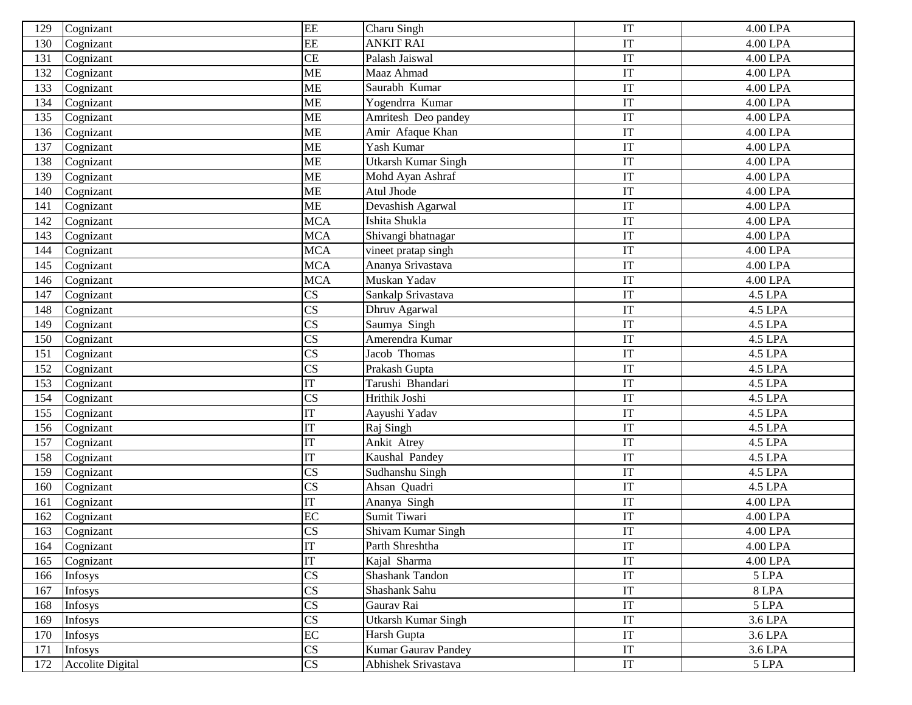| 129 | Cognizant               | EE                     | Charu Singh                | IT                  | 4.00 LPA   |
|-----|-------------------------|------------------------|----------------------------|---------------------|------------|
| 130 | Cognizant               | EE                     | <b>ANKIT RAI</b>           | IT                  | 4.00 LPA   |
| 131 | Cognizant               | CE                     | Palash Jaiswal             | IT                  | 4.00 LPA   |
| 132 | Cognizant               | <b>ME</b>              | Maaz Ahmad                 | IT                  | 4.00 LPA   |
| 133 | Cognizant               | <b>ME</b>              | Saurabh Kumar              | IT                  | 4.00 LPA   |
| 134 | Cognizant               | <b>ME</b>              | Yogendrra Kumar            | IT                  | 4.00 LPA   |
| 135 | Cognizant               | ME                     | Amritesh Deo pandey        | IT                  | 4.00 LPA   |
| 136 | Cognizant               | <b>ME</b>              | Amir Afaque Khan           | IT                  | $4.00$ LPA |
| 137 | Cognizant               | <b>ME</b>              | Yash Kumar                 | IT                  | 4.00 LPA   |
| 138 | Cognizant               | <b>ME</b>              | Utkarsh Kumar Singh        | IT                  | 4.00 LPA   |
| 139 | Cognizant               | <b>ME</b>              | Mohd Ayan Ashraf           | IT                  | 4.00 LPA   |
| 140 | Cognizant               | <b>ME</b>              | Atul Jhode                 | IT                  | 4.00 LPA   |
| 141 | Cognizant               | <b>ME</b>              | Devashish Agarwal          | IT                  | 4.00 LPA   |
| 142 | Cognizant               | <b>MCA</b>             | Ishita Shukla              | IT                  | 4.00 LPA   |
| 143 | Cognizant               | <b>MCA</b>             | Shivangi bhatnagar         | IT                  | 4.00 LPA   |
| 144 | Cognizant               | <b>MCA</b>             | vineet pratap singh        | IT                  | 4.00 LPA   |
| 145 | Cognizant               | <b>MCA</b>             | Ananya Srivastava          | IT                  | 4.00 LPA   |
| 146 | Cognizant               | <b>MCA</b>             | Muskan Yadav               | IT                  | 4.00 LPA   |
| 147 | Cognizant               | CS                     | Sankalp Srivastava         | IT                  | 4.5 LPA    |
| 148 | Cognizant               | CS                     | Dhruv Agarwal              | IT                  | 4.5 LPA    |
| 149 | Cognizant               | $\overline{\text{CS}}$ | Saumya Singh               | IT                  | 4.5 LPA    |
| 150 | Cognizant               | $\overline{\text{CS}}$ | Amerendra Kumar            | IT                  | 4.5 LPA    |
| 151 | Cognizant               | $\overline{\text{CS}}$ | Jacob Thomas               | IT                  | 4.5 LPA    |
| 152 | Cognizant               | $\overline{\text{CS}}$ | Prakash Gupta              | IT                  | 4.5 LPA    |
| 153 | Cognizant               | IT                     | Tarushi Bhandari           | IT                  | 4.5 LPA    |
| 154 | Cognizant               | $\overline{\text{CS}}$ | Hrithik Joshi              | IT                  | 4.5 LPA    |
| 155 | Cognizant               | IT                     | Aayushi Yadav              | IT                  | 4.5 LPA    |
| 156 | Cognizant               | $\overline{\text{IT}}$ | Raj Singh                  | IT                  | 4.5 LPA    |
| 157 | Cognizant               | $\overline{\text{IT}}$ | Ankit Atrey                | IT                  | 4.5 LPA    |
| 158 | Cognizant               | $\overline{\text{IT}}$ | Kaushal Pandey             | IT                  | 4.5 LPA    |
| 159 | Cognizant               | $\overline{\text{CS}}$ | Sudhanshu Singh            | IT                  | 4.5 LPA    |
| 160 | Cognizant               | $\overline{\text{CS}}$ | Ahsan Quadri               | IT                  | 4.5 LPA    |
| 161 | Cognizant               | IT                     | Ananya Singh               | IT                  | 4.00 LPA   |
| 162 | Cognizant               | $\rm EC$               | Sumit Tiwari               | IT                  | 4.00 LPA   |
| 163 | Cognizant               | $\overline{\text{CS}}$ | Shivam Kumar Singh         | IT                  | 4.00 LPA   |
| 164 | Cognizant               | IT                     | Parth Shreshtha            | IT                  | 4.00 LPA   |
| 165 | Cognizant               | $\overline{\text{IT}}$ | Kajal Sharma               | IT                  | 4.00 LPA   |
| 166 | Infosys                 | $\overline{\text{CS}}$ | Shashank Tandon            | $\operatorname{IT}$ | 5 LPA      |
| 167 | Infosys                 | $\overline{\text{CS}}$ | Shashank Sahu              | IT                  | 8 LPA      |
| 168 | Infosys                 | $\overline{\text{CS}}$ | Gaurav Rai                 | IT                  | 5 LPA      |
| 169 | Infosys                 | $\overline{\text{CS}}$ | <b>Utkarsh Kumar Singh</b> | IT                  | 3.6 LPA    |
| 170 | Infosys                 | EC                     | Harsh Gupta                | IT                  | 3.6 LPA    |
| 171 | Infosys                 | $\overline{\text{CS}}$ | <b>Kumar Gaurav Pandey</b> | IT                  | 3.6 LPA    |
| 172 | <b>Accolite Digital</b> | CS                     | Abhishek Srivastava        | IT                  | 5 LPA      |
|     |                         |                        |                            |                     |            |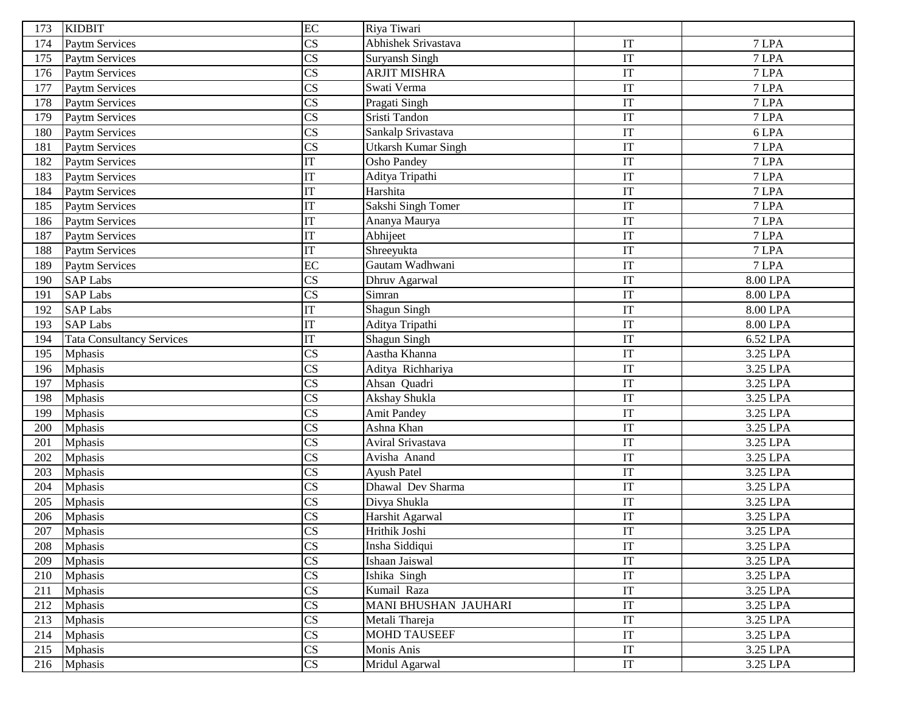| 173 | <b>KIDBIT</b>                    | EC                     | Riya Tiwari                 |                            |            |
|-----|----------------------------------|------------------------|-----------------------------|----------------------------|------------|
| 174 | <b>Paytm Services</b>            | $\overline{\text{CS}}$ | Abhishek Srivastava         | IT                         | 7 LPA      |
| 175 | Paytm Services                   | $\overline{\text{CS}}$ | Suryansh Singh              | IT                         | 7 LPA      |
| 176 | <b>Paytm Services</b>            | $\overline{\text{CS}}$ | <b>ARJIT MISHRA</b>         | IT                         | 7 LPA      |
| 177 | <b>Paytm Services</b>            | $\overline{\text{CS}}$ | Swati Verma                 | IT                         | 7 LPA      |
| 178 | <b>Paytm Services</b>            | $\overline{\text{CS}}$ | Pragati Singh               | IT                         | 7 LPA      |
| 179 | Paytm Services                   | $\overline{\text{CS}}$ | Sristi Tandon               | IT                         | 7 LPA      |
| 180 | Paytm Services                   | $\overline{\text{CS}}$ | Sankalp Srivastava          | IT                         | 6 LPA      |
| 181 | <b>Paytm Services</b>            | $\overline{\text{CS}}$ | <b>Utkarsh Kumar Singh</b>  | IT                         | 7 LPA      |
| 182 | <b>Paytm Services</b>            | IT                     | <b>Osho Pandey</b>          | IT                         | 7 LPA      |
| 183 | Paytm Services                   | IT                     | Aditya Tripathi             | IT                         | 7 LPA      |
| 184 | <b>Paytm Services</b>            | IT                     | Harshita                    | IT                         | 7 LPA      |
| 185 | Paytm Services                   | $\overline{\text{IT}}$ | Sakshi Singh Tomer          | IT                         | 7 LPA      |
| 186 | Paytm Services                   | $\overline{\text{IT}}$ | Ananya Maurya               | IT                         | 7 LPA      |
| 187 | Paytm Services                   | $\overline{\text{IT}}$ | Abhijeet                    | IT                         | 7 LPA      |
| 188 | Paytm Services                   | IT                     | Shreeyukta                  | IT                         | 7 LPA      |
| 189 | Paytm Services                   | $\overline{EC}$        | Gautam Wadhwani             | IT                         | 7 LPA      |
| 190 | <b>SAP Labs</b>                  | $\overline{\text{CS}}$ | Dhruv Agarwal               | IT                         | 8.00 LPA   |
| 191 | <b>SAP Labs</b>                  | $\overline{\text{CS}}$ | Simran                      | IT                         | 8.00 LPA   |
| 192 | <b>SAP Labs</b>                  | $\overline{\text{IT}}$ | <b>Shagun Singh</b>         | IT                         | 8.00 LPA   |
| 193 | <b>SAP Labs</b>                  | $\overline{\text{IT}}$ | Aditya Tripathi             | IT                         | 8.00 LPA   |
| 194 | <b>Tata Consultancy Services</b> | IT                     | Shagun Singh                | IT                         | 6.52 LPA   |
| 195 | <b>Mphasis</b>                   | $\overline{\text{CS}}$ | Aastha Khanna               | IT                         | 3.25 LPA   |
| 196 | <b>Mphasis</b>                   | $\overline{\text{CS}}$ | Aditya Richhariya           | IT                         | 3.25 LPA   |
| 197 | <b>Mphasis</b>                   | $\overline{\text{CS}}$ | Ahsan Quadri                | IT                         | 3.25 LPA   |
| 198 | <b>Mphasis</b>                   | $\overline{\text{CS}}$ | Akshay Shukla               | IT                         | 3.25 LPA   |
| 199 | <b>Mphasis</b>                   | $\overline{\text{CS}}$ | <b>Amit Pandey</b>          | IT                         | 3.25 LPA   |
| 200 | Mphasis                          | $\overline{\text{CS}}$ | Ashna Khan                  | IT                         | 3.25 LPA   |
| 201 | <b>Mphasis</b>                   | $\overline{\text{CS}}$ | Aviral Srivastava           | $\overline{\text{IT}}$     | 3.25 LPA   |
| 202 | <b>Mphasis</b>                   | $\overline{\text{CS}}$ | Avisha Anand                | IT                         | 3.25 LPA   |
| 203 | <b>Mphasis</b>                   | $\overline{\text{CS}}$ | Ayush Patel                 | IT                         | 3.25 LPA   |
| 204 | <b>Mphasis</b>                   | $\overline{\text{CS}}$ | Dhawal Dev Sharma           | IT                         | $3.25$ LPA |
| 205 | <b>Mphasis</b>                   | $\overline{\text{CS}}$ | Divya Shukla                | IT                         | 3.25 LPA   |
| 206 | Mphasis                          | $\overline{\text{CS}}$ | Harshit Agarwal             | IT                         | 3.25 LPA   |
| 207 | <b>Mphasis</b>                   | CS                     | Hrithik Joshi               | IT                         | 3.25 LPA   |
| 208 | <b>Mphasis</b>                   | $\overline{\text{CS}}$ | Insha Siddiqui              | $\ensuremath{\mathsf{IT}}$ | 3.25 LPA   |
| 209 | <b>Mphasis</b>                   | $\overline{\text{CS}}$ | Ishaan Jaiswal              | $\ensuremath{\mathsf{IT}}$ | 3.25 LPA   |
| 210 | <b>Mphasis</b>                   | $\overline{\text{CS}}$ | Ishika Singh                | $\ensuremath{\mathsf{IT}}$ | 3.25 LPA   |
| 211 | <b>Mphasis</b>                   | $\overline{\text{CS}}$ | Kumail Raza                 | $\ensuremath{\mathsf{IT}}$ | 3.25 LPA   |
| 212 | <b>Mphasis</b>                   | $\overline{\text{CS}}$ | <b>MANI BHUSHAN JAUHARI</b> | IT                         | 3.25 LPA   |
| 213 | <b>Mphasis</b>                   | $\overline{\text{CS}}$ | Metali Thareja              | IT                         | 3.25 LPA   |
| 214 | <b>Mphasis</b>                   | $\overline{\text{CS}}$ | <b>MOHD TAUSEEF</b>         | IT                         | 3.25 LPA   |
| 215 | <b>Mphasis</b>                   | $\overline{\text{CS}}$ | Monis Anis                  | $\ensuremath{\mathsf{IT}}$ | 3.25 LPA   |
| 216 | <b>Mphasis</b>                   | $\overline{\text{CS}}$ | Mridul Agarwal              | $\ensuremath{\mathsf{IT}}$ | 3.25 LPA   |
|     |                                  |                        |                             |                            |            |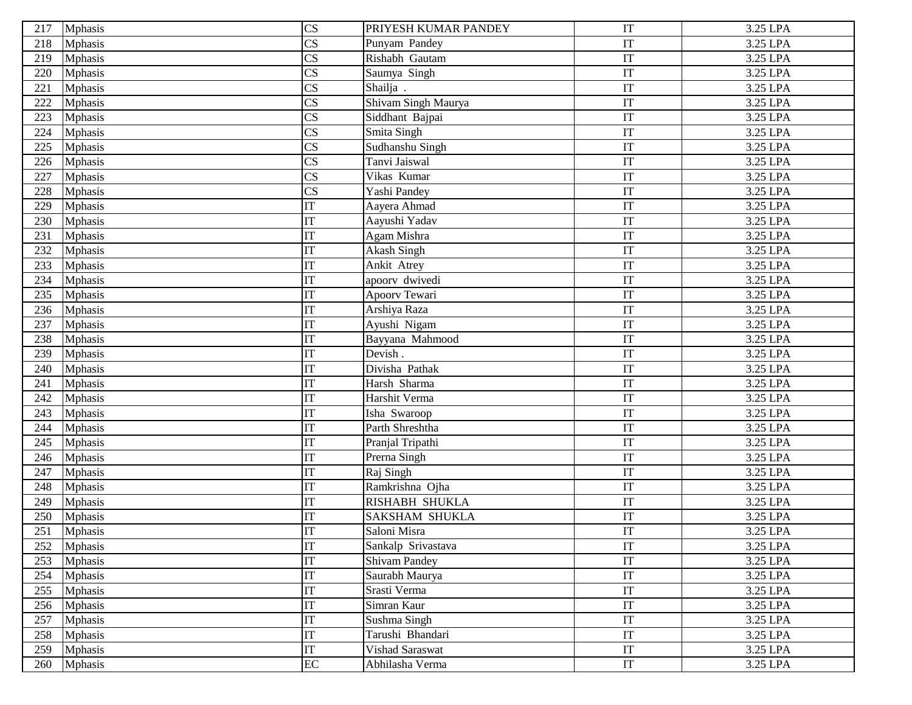| 217 | <b>Mphasis</b> | $\overline{\text{CS}}$     | PRIYESH KUMAR PANDEY  | IT | 3.25 LPA |
|-----|----------------|----------------------------|-----------------------|----|----------|
| 218 | <b>Mphasis</b> | $\overline{\text{CS}}$     | Punyam Pandey         | IT | 3.25 LPA |
| 219 | <b>Mphasis</b> | $\overline{\text{CS}}$     | Rishabh Gautam        | IT | 3.25 LPA |
| 220 | <b>Mphasis</b> | $\overline{\text{CS}}$     | Saumya Singh          | IT | 3.25 LPA |
| 221 | <b>Mphasis</b> | $\overline{\text{CS}}$     | Shailja.              | IT | 3.25 LPA |
| 222 | Mphasis        | $\overline{\text{CS}}$     | Shivam Singh Maurya   | IT | 3.25 LPA |
| 223 | <b>Mphasis</b> | $\overline{\text{CS}}$     | Siddhant Bajpai       | IT | 3.25 LPA |
| 224 | <b>Mphasis</b> | $\overline{\text{CS}}$     | Smita Singh           | IT | 3.25 LPA |
| 225 | <b>Mphasis</b> | $\overline{\text{CS}}$     | Sudhanshu Singh       | IT | 3.25 LPA |
| 226 | <b>Mphasis</b> | $\overline{\text{CS}}$     | Tanvi Jaiswal         | IT | 3.25 LPA |
| 227 | <b>Mphasis</b> | $\overline{\text{CS}}$     | Vikas Kumar           | IT | 3.25 LPA |
| 228 | <b>Mphasis</b> | $\overline{\text{CS}}$     | Yashi Pandey          | IT | 3.25 LPA |
| 229 | Mphasis        | IT                         | Aayera Ahmad          | IT | 3.25 LPA |
| 230 | Mphasis        | IT                         | Aayushi Yadav         | IT | 3.25 LPA |
| 231 | <b>Mphasis</b> | IT                         | Agam Mishra           | IT | 3.25 LPA |
| 232 | <b>Mphasis</b> | IT                         | Akash Singh           | IT | 3.25 LPA |
| 233 | Mphasis        | IT                         | Ankit Atrey           | IT | 3.25 LPA |
| 234 | Mphasis        | IT                         | apoorv dwivedi        | IT | 3.25 LPA |
| 235 | <b>Mphasis</b> | IT                         | Apoorv Tewari         | IT | 3.25 LPA |
| 236 | <b>Mphasis</b> | <b>IT</b>                  | Arshiya Raza          | IT | 3.25 LPA |
| 237 | Mphasis        | IT                         | Ayushi Nigam          | IT | 3.25 LPA |
| 238 | Mphasis        | IT                         | Bayyana Mahmood       | IT | 3.25 LPA |
| 239 | Mphasis        | $\ensuremath{\mathsf{IT}}$ | Devish.               | IT | 3.25 LPA |
| 240 | <b>Mphasis</b> | IT                         | Divisha Pathak        | IT | 3.25 LPA |
| 241 | <b>Mphasis</b> | IT                         | Harsh Sharma          | IT | 3.25 LPA |
| 242 | Mphasis        | IT                         | Harshit Verma         | IT | 3.25 LPA |
| 243 | <b>Mphasis</b> | IT                         | Isha Swaroop          | IT | 3.25 LPA |
| 244 | <b>Mphasis</b> | IT                         | Parth Shreshtha       | IT | 3.25 LPA |
| 245 | Mphasis        | IT                         | Pranjal Tripathi      | IT | 3.25 LPA |
| 246 | Mphasis        | IT                         | Prerna Singh          | IT | 3.25 LPA |
| 247 | <b>Mphasis</b> | IT                         | Raj Singh             | IT | 3.25 LPA |
| 248 | Mphasis        | IT                         | Ramkrishna Ojha       | IT | 3.25 LPA |
| 249 | Mphasis        | IT                         | <b>RISHABH SHUKLA</b> | IT | 3.25 LPA |
| 250 | Mphasis        | <b>IT</b>                  | <b>SAKSHAM SHUKLA</b> | IT | 3.25 LPA |
| 251 | <b>Mphasis</b> | IT                         | Saloni Misra          | IT | 3.25 LPA |
| 252 | <b>Mphasis</b> | IT                         | Sankalp Srivastava    | IT | 3.25 LPA |
| 253 | <b>Mphasis</b> | IT                         | <b>Shivam Pandey</b>  | IT | 3.25 LPA |
| 254 | <b>Mphasis</b> | $\mathop{\mathrm{IT}}$     | Saurabh Maurya        | IT | 3.25 LPA |
| 255 | <b>Mphasis</b> | IT                         | Srasti Verma          | IT | 3.25 LPA |
| 256 | <b>Mphasis</b> | IT                         | Simran Kaur           | IT | 3.25 LPA |
| 257 | <b>Mphasis</b> | $\ensuremath{\mathsf{IT}}$ | Sushma Singh          | IT | 3.25 LPA |
| 258 | <b>Mphasis</b> | $\overline{\text{IT}}$     | Tarushi Bhandari      | IT | 3.25 LPA |
| 259 | <b>Mphasis</b> | IT                         | Vishad Saraswat       | IT | 3.25 LPA |
| 260 | <b>Mphasis</b> | EC                         | Abhilasha Verma       | IT | 3.25 LPA |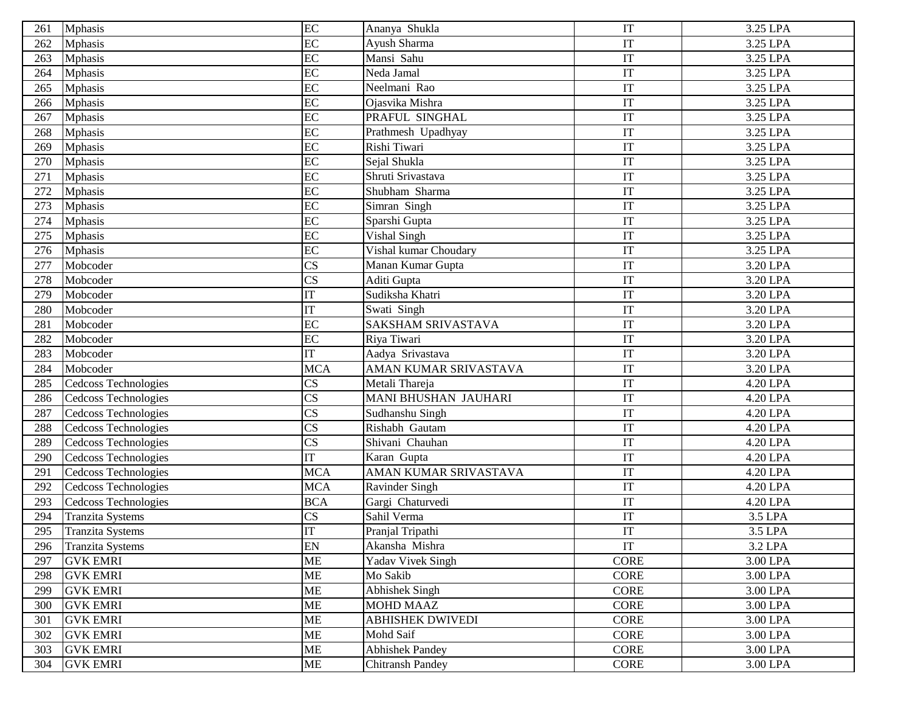| 261 | <b>Mphasis</b>          | EC                     | Ananya Shukla             | IT                     | 3.25 LPA |
|-----|-------------------------|------------------------|---------------------------|------------------------|----------|
| 262 | <b>Mphasis</b>          | EC                     | Ayush Sharma              | IT                     | 3.25 LPA |
| 263 | <b>Mphasis</b>          | $\overline{EC}$        | Mansi Sahu                | IT                     | 3.25 LPA |
| 264 | <b>Mphasis</b>          | EC                     | Neda Jamal                | IT                     | 3.25 LPA |
| 265 | <b>Mphasis</b>          | EC                     | Neelmani Rao              | IT                     | 3.25 LPA |
| 266 | <b>Mphasis</b>          | EC                     | Ojasvika Mishra           | IT                     | 3.25 LPA |
| 267 | <b>Mphasis</b>          | EC                     | PRAFUL SINGHAL            | IT                     | 3.25 LPA |
| 268 | <b>Mphasis</b>          | $\overline{EC}$        | Prathmesh Upadhyay        | IT                     | 3.25 LPA |
| 269 | <b>Mphasis</b>          | EC                     | Rishi Tiwari              | IT                     | 3.25 LPA |
| 270 | <b>Mphasis</b>          | EC                     | Sejal Shukla              | IT                     | 3.25 LPA |
| 271 | <b>Mphasis</b>          | EC                     | Shruti Srivastava         | IT                     | 3.25 LPA |
| 272 | <b>Mphasis</b>          | EC                     | Shubham Sharma            | IT                     | 3.25 LPA |
| 273 | <b>Mphasis</b>          | EC                     | Simran Singh              | IT                     | 3.25 LPA |
| 274 | <b>Mphasis</b>          | $\overline{EC}$        | Sparshi Gupta             | IT                     | 3.25 LPA |
| 275 | <b>Mphasis</b>          | $\overline{EC}$        | Vishal Singh              | IT                     | 3.25 LPA |
| 276 | <b>Mphasis</b>          | EC                     | Vishal kumar Choudary     | IT                     | 3.25 LPA |
| 277 | Mobcoder                | $\overline{\text{CS}}$ | Manan Kumar Gupta         | IT                     | 3.20 LPA |
| 278 | Mobcoder                | $\overline{\text{CS}}$ | Aditi Gupta               | IT                     | 3.20 LPA |
| 279 | Mobcoder                | $\overline{\text{IT}}$ | Sudiksha Khatri           | IT                     | 3.20 LPA |
| 280 | Mobcoder                | IT                     | Swati Singh               | IT                     | 3.20 LPA |
| 281 | Mobcoder                | EC                     | <b>SAKSHAM SRIVASTAVA</b> | IT                     | 3.20 LPA |
| 282 | Mobcoder                | $\overline{EC}$        | Riya Tiwari               | IT                     | 3.20 LPA |
| 283 | Mobcoder                | IT                     | Aadya Srivastava          | IT                     | 3.20 LPA |
| 284 | Mobcoder                | <b>MCA</b>             | AMAN KUMAR SRIVASTAVA     | $\mathop{\mathrm{IT}}$ | 3.20 LPA |
| 285 | Cedcoss Technologies    | CS                     | Metali Thareja            | IT                     | 4.20 LPA |
| 286 | Cedcoss Technologies    | $\overline{\text{CS}}$ | MANI BHUSHAN JAUHARI      | IT                     | 4.20 LPA |
| 287 | Cedcoss Technologies    | $\overline{\text{CS}}$ | Sudhanshu Singh           | IT                     | 4.20 LPA |
| 288 | Cedcoss Technologies    | $\overline{\text{CS}}$ | Rishabh Gautam            | IT                     | 4.20 LPA |
| 289 | Cedcoss Technologies    | $\overline{\text{CS}}$ | Shivani Chauhan           | IT                     | 4.20 LPA |
| 290 | Cedcoss Technologies    | IT                     | Karan Gupta               | IT                     | 4.20 LPA |
| 291 | Cedcoss Technologies    | <b>MCA</b>             | AMAN KUMAR SRIVASTAVA     | IT                     | 4.20 LPA |
| 292 | Cedcoss Technologies    | <b>MCA</b>             | <b>Ravinder Singh</b>     | IT                     | 4.20 LPA |
| 293 | Cedcoss Technologies    | <b>BCA</b>             | Gargi Chaturvedi          | IT                     | 4.20 LPA |
| 294 | <b>Tranzita Systems</b> | CS                     | Sahil Verma               | IT                     | 3.5 LPA  |
| 295 | <b>Tranzita Systems</b> | IT                     | Pranjal Tripathi          | IT                     | 3.5 LPA  |
| 296 | <b>Tranzita Systems</b> | EN                     | Akansha Mishra            | IT                     | 3.2 LPA  |
| 297 | <b>GVK EMRI</b>         | ME                     | Yadav Vivek Singh         | <b>CORE</b>            | 3.00 LPA |
| 298 | <b>GVK EMRI</b>         | <b>ME</b>              | Mo Sakib                  | <b>CORE</b>            | 3.00 LPA |
| 299 | <b>GVK EMRI</b>         | <b>ME</b>              | Abhishek Singh            | <b>CORE</b>            | 3.00 LPA |
| 300 | <b>GVK EMRI</b>         | <b>ME</b>              | <b>MOHD MAAZ</b>          | CORE                   | 3.00 LPA |
| 301 | <b>GVK EMRI</b>         | <b>ME</b>              | <b>ABHISHEK DWIVEDI</b>   | <b>CORE</b>            | 3.00 LPA |
| 302 | <b>GVK EMRI</b>         | ME                     | Mohd Saif                 | CORE                   | 3.00 LPA |
| 303 | <b>GVK EMRI</b>         | ME                     | <b>Abhishek Pandey</b>    | CORE                   | 3.00 LPA |
| 304 | <b>GVK EMRI</b>         | ME                     | <b>Chitransh Pandey</b>   | <b>CORE</b>            | 3.00 LPA |
|     |                         |                        |                           |                        |          |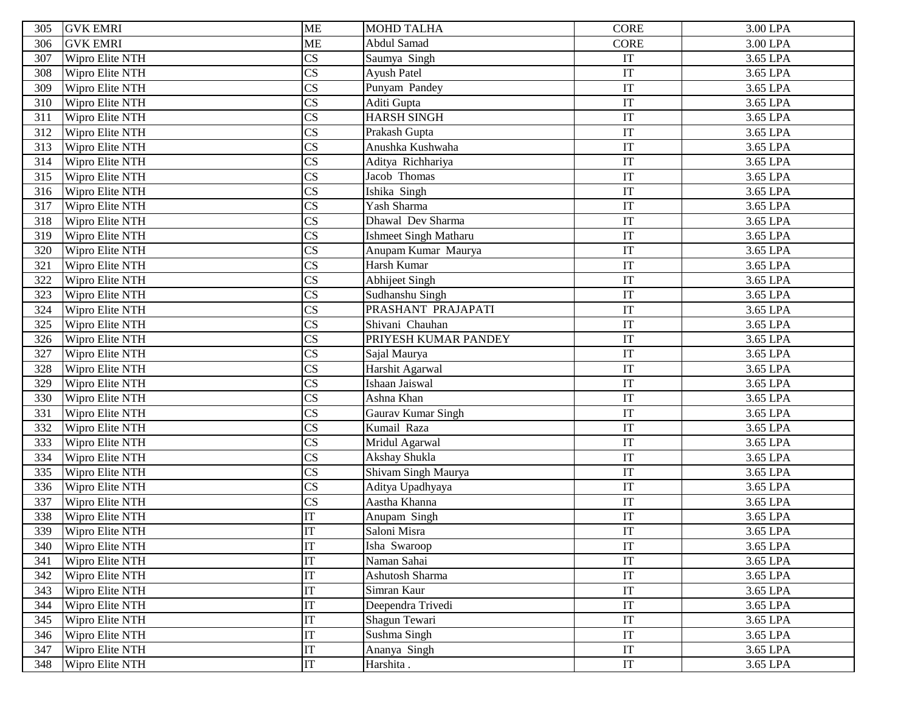| 305 | <b>GVK EMRI</b> | <b>ME</b>              | <b>MOHD TALHA</b>            | CORE        | 3.00 LPA              |
|-----|-----------------|------------------------|------------------------------|-------------|-----------------------|
| 306 | <b>GVK EMRI</b> | ME                     | Abdul Samad                  | <b>CORE</b> | 3.00 LPA              |
| 307 | Wipro Elite NTH | $\overline{\text{CS}}$ | Saumya Singh                 | IT          | 3.65 LPA              |
| 308 | Wipro Elite NTH | $\overline{\text{CS}}$ | Ayush Patel                  | IT          | 3.65 LPA              |
| 309 | Wipro Elite NTH | $\overline{\text{CS}}$ | Punyam Pandey                | IT          | 3.65 LPA              |
| 310 | Wipro Elite NTH | $\overline{\text{CS}}$ | Aditi Gupta                  | IT          | 3.65 LPA              |
| 311 | Wipro Elite NTH | $\overline{\text{CS}}$ | <b>HARSH SINGH</b>           | IT          | 3.65 LPA              |
| 312 | Wipro Elite NTH | $\overline{\text{CS}}$ | Prakash Gupta                | IT          | 3.65 LPA              |
| 313 | Wipro Elite NTH | $\overline{\text{CS}}$ | Anushka Kushwaha             | IT          | 3.65 LPA              |
| 314 | Wipro Elite NTH | $\overline{\text{CS}}$ | Aditya Richhariya            | IT          | 3.65 LPA              |
| 315 | Wipro Elite NTH | $\overline{\text{CS}}$ | Jacob Thomas                 | IT          | 3.65 LPA              |
| 316 | Wipro Elite NTH | $\overline{\text{CS}}$ | Ishika Singh                 | IT          | 3.65 LPA              |
| 317 | Wipro Elite NTH | $\overline{\text{CS}}$ | Yash Sharma                  | IT          | 3.65 LPA              |
| 318 | Wipro Elite NTH | $\overline{\text{CS}}$ | Dhawal Dev Sharma            | IT          | 3.65 LPA              |
| 319 | Wipro Elite NTH | $\overline{\text{CS}}$ | <b>Ishmeet Singh Matharu</b> | IT          | 3.65 LPA              |
| 320 | Wipro Elite NTH | $\overline{\text{CS}}$ | Anupam Kumar Maurya          | IT          | 3.65 LPA              |
| 321 | Wipro Elite NTH | $\overline{\text{CS}}$ | Harsh Kumar                  | IT          | 3.65 LPA              |
| 322 | Wipro Elite NTH | $\overline{\text{CS}}$ | <b>Abhijeet Singh</b>        | IT          | 3.65 LPA              |
| 323 | Wipro Elite NTH | $\overline{\text{CS}}$ | Sudhanshu Singh              | IT          | 3.65 LPA              |
| 324 | Wipro Elite NTH | $\overline{\text{CS}}$ | PRASHANT PRAJAPATI           | IT          | 3.65 LPA              |
| 325 | Wipro Elite NTH | $\overline{\text{CS}}$ | Shivani Chauhan              | IT          | 3.65 LPA              |
| 326 | Wipro Elite NTH | $\overline{\text{CS}}$ | PRIYESH KUMAR PANDEY         | IT          | $\overline{3.65}$ LPA |
| 327 | Wipro Elite NTH | $\overline{\text{CS}}$ | Sajal Maurya                 | IT          | 3.65 LPA              |
| 328 | Wipro Elite NTH | $\overline{\text{CS}}$ | Harshit Agarwal              | IT          | 3.65 LPA              |
| 329 | Wipro Elite NTH | $\overline{\text{CS}}$ | Ishaan Jaiswal               | IT          | 3.65 LPA              |
| 330 | Wipro Elite NTH | $\overline{\text{CS}}$ | Ashna Khan                   | IT          | 3.65 LPA              |
| 331 | Wipro Elite NTH | $\overline{\text{CS}}$ | Gaurav Kumar Singh           | IT          | 3.65 LPA              |
| 332 | Wipro Elite NTH | $\overline{\text{CS}}$ | Kumail Raza                  | IT          | 3.65 LPA              |
| 333 | Wipro Elite NTH | $\overline{\text{CS}}$ | Mridul Agarwal               | IT          | 3.65 LPA              |
| 334 | Wipro Elite NTH | $\overline{\text{CS}}$ | Akshay Shukla                | IT          | 3.65 LPA              |
| 335 | Wipro Elite NTH | $\overline{\text{CS}}$ | Shivam Singh Maurya          | IT          | 3.65 LPA              |
| 336 | Wipro Elite NTH | $\overline{\text{CS}}$ | Aditya Upadhyaya             | IT          | 3.65 LPA              |
| 337 | Wipro Elite NTH | $\overline{\text{CS}}$ | Aastha Khanna                | IT          | 3.65 LPA              |
| 338 | Wipro Elite NTH | $\mathop{\mathrm{IT}}$ | Anupam Singh                 | IT          | 3.65 LPA              |
| 339 | Wipro Elite NTH | IT                     | Saloni Misra                 | IT          | 3.65 LPA              |
| 340 | Wipro Elite NTH | IT                     | Isha Swaroop                 | IT          | 3.65 LPA              |
| 341 | Wipro Elite NTH | $\overline{\text{IT}}$ | Naman Sahai                  | IT          | 3.65 LPA              |
| 342 | Wipro Elite NTH | IT                     | Ashutosh Sharma              | IT          | 3.65 LPA              |
| 343 | Wipro Elite NTH | IT                     | Simran Kaur                  | IT          | 3.65 LPA              |
| 344 | Wipro Elite NTH | $\overline{\text{IT}}$ | Deependra Trivedi            | IT          | 3.65 LPA              |
| 345 | Wipro Elite NTH | IT                     | Shagun Tewari                | IT          | 3.65 LPA              |
| 346 | Wipro Elite NTH | $\overline{\text{IT}}$ | Sushma Singh                 | IT          | 3.65 LPA              |
| 347 | Wipro Elite NTH | $\overline{\text{IT}}$ | Ananya Singh                 | IT          | 3.65 LPA              |
| 348 | Wipro Elite NTH | IT                     | Harshita.                    | IT          | 3.65 LPA              |
|     |                 |                        |                              |             |                       |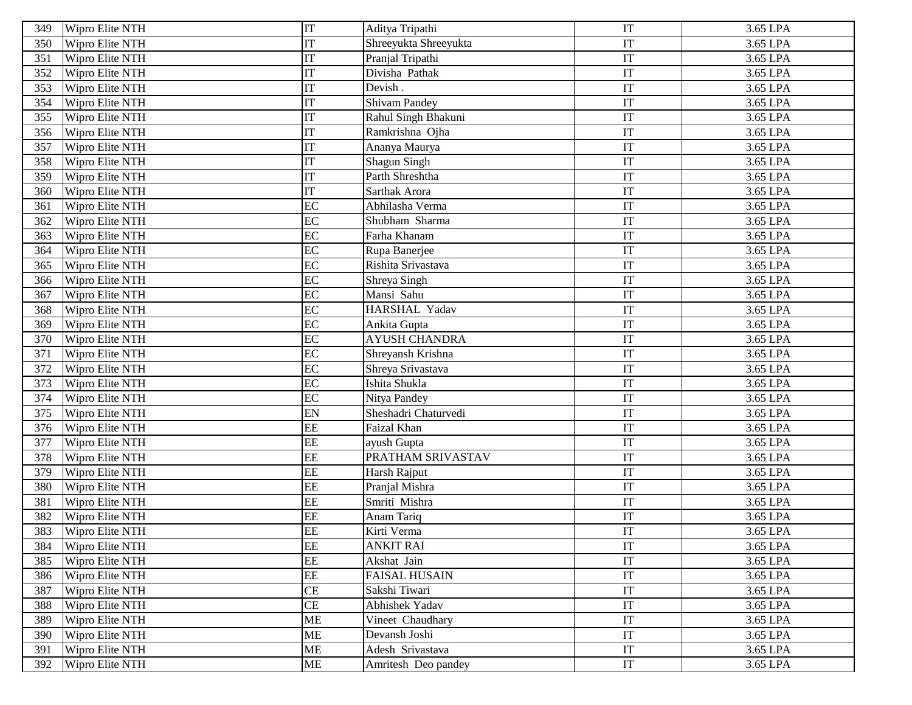| 349 | Wipro Elite NTH | IT                     | Aditya Tripathi       | IT                         | 3.65 LPA |
|-----|-----------------|------------------------|-----------------------|----------------------------|----------|
| 350 | Wipro Elite NTH | $\overline{\text{IT}}$ | Shreeyukta Shreeyukta | IT                         | 3.65 LPA |
| 351 | Wipro Elite NTH | IT                     | Pranjal Tripathi      | IT                         | 3.65 LPA |
| 352 | Wipro Elite NTH | $\overline{\text{IT}}$ | Divisha Pathak        | IT                         | 3.65 LPA |
| 353 | Wipro Elite NTH | $\overline{\text{IT}}$ | Devish.               | IT                         | 3.65 LPA |
| 354 | Wipro Elite NTH | IT                     | <b>Shivam Pandey</b>  | IT                         | 3.65 LPA |
| 355 | Wipro Elite NTH | $\overline{\text{IT}}$ | Rahul Singh Bhakuni   | IT                         | 3.65 LPA |
| 356 | Wipro Elite NTH | IT                     | Ramkrishna Ojha       | IT                         | 3.65 LPA |
| 357 | Wipro Elite NTH | $\overline{\text{IT}}$ | Ananya Maurya         | IT                         | 3.65 LPA |
| 358 | Wipro Elite NTH | IT                     | Shagun Singh          | IT                         | 3.65 LPA |
| 359 | Wipro Elite NTH | IT                     | Parth Shreshtha       | IT                         | 3.65 LPA |
| 360 | Wipro Elite NTH | $\overline{\text{IT}}$ | Sarthak Arora         | IT                         | 3.65 LPA |
| 361 | Wipro Elite NTH | EC                     | Abhilasha Verma       | IT                         | 3.65 LPA |
| 362 | Wipro Elite NTH | $\overline{EC}$        | Shubham Sharma        | IT                         | 3.65 LPA |
| 363 | Wipro Elite NTH | $\overline{EC}$        | Farha Khanam          | IT                         | 3.65 LPA |
| 364 | Wipro Elite NTH | EC                     | Rupa Banerjee         | IT                         | 3.65 LPA |
| 365 | Wipro Elite NTH | EC                     | Rishita Srivastava    | IT                         | 3.65 LPA |
| 366 | Wipro Elite NTH | $\overline{EC}$        | Shreya Singh          | IT                         | 3.65 LPA |
| 367 | Wipro Elite NTH | EC                     | Mansi Sahu            | IT                         | 3.65 LPA |
| 368 | Wipro Elite NTH | EC                     | HARSHAL Yadav         | IT                         | 3.65 LPA |
| 369 | Wipro Elite NTH | $\overline{EC}$        | Ankita Gupta          | IT                         | 3.65 LPA |
| 370 | Wipro Elite NTH | EC                     | <b>AYUSH CHANDRA</b>  | $\ensuremath{\mathsf{IT}}$ | 3.65 LPA |
| 371 | Wipro Elite NTH | EC                     | Shreyansh Krishna     | IT                         | 3.65 LPA |
| 372 | Wipro Elite NTH | EC                     | Shreya Srivastava     | IT                         | 3.65 LPA |
| 373 | Wipro Elite NTH | EC                     | Ishita Shukla         | IT                         | 3.65 LPA |
| 374 | Wipro Elite NTH | EC                     | Nitya Pandey          | IT                         | 3.65 LPA |
| 375 | Wipro Elite NTH | EN                     | Sheshadri Chaturvedi  | IT                         | 3.65 LPA |
| 376 | Wipro Elite NTH | EE                     | Faizal Khan           | IT                         | 3.65 LPA |
| 377 | Wipro Elite NTH | EE                     | ayush Gupta           | IT                         | 3.65 LPA |
| 378 | Wipro Elite NTH | $\overline{EE}$        | PRATHAM SRIVASTAV     | $\ensuremath{\mathsf{IT}}$ | 3.65 LPA |
| 379 | Wipro Elite NTH | EE                     | Harsh Rajput          | IT                         | 3.65 LPA |
| 380 | Wipro Elite NTH | $\overline{EE}$        | Pranjal Mishra        | IT                         | 3.65 LPA |
| 381 | Wipro Elite NTH | EE                     | Smriti Mishra         | IT                         | 3.65 LPA |
| 382 | Wipro Elite NTH | EE                     | Anam Tariq            | IT                         | 3.65 LPA |
| 383 | Wipro Elite NTH | EE                     | Kirti Verma           | IT                         | 3.65 LPA |
| 384 | Wipro Elite NTH | <b>EE</b>              | <b>ANKIT RAI</b>      | IT                         | 3.65 LPA |
| 385 | Wipro Elite NTH | $\overline{EE}$        | Akshat Jain           | IT                         | 3.65 LPA |
| 386 | Wipro Elite NTH | $\rm{EE}$              | <b>FAISAL HUSAIN</b>  | $\ensuremath{\mathsf{IT}}$ | 3.65 LPA |
| 387 | Wipro Elite NTH | CE                     | Sakshi Tiwari         | IT                         | 3.65 LPA |
| 388 | Wipro Elite NTH | CE                     | Abhishek Yadav        | IT                         | 3.65 LPA |
| 389 | Wipro Elite NTH | ME                     | Vineet Chaudhary      | IT                         | 3.65 LPA |
| 390 | Wipro Elite NTH | ME                     | Devansh Joshi         | IT                         | 3.65 LPA |
| 391 | Wipro Elite NTH | ME                     | Adesh Srivastava      | IT                         | 3.65 LPA |
| 392 | Wipro Elite NTH | ME                     | Amritesh Deo pandey   | IT                         | 3.65 LPA |